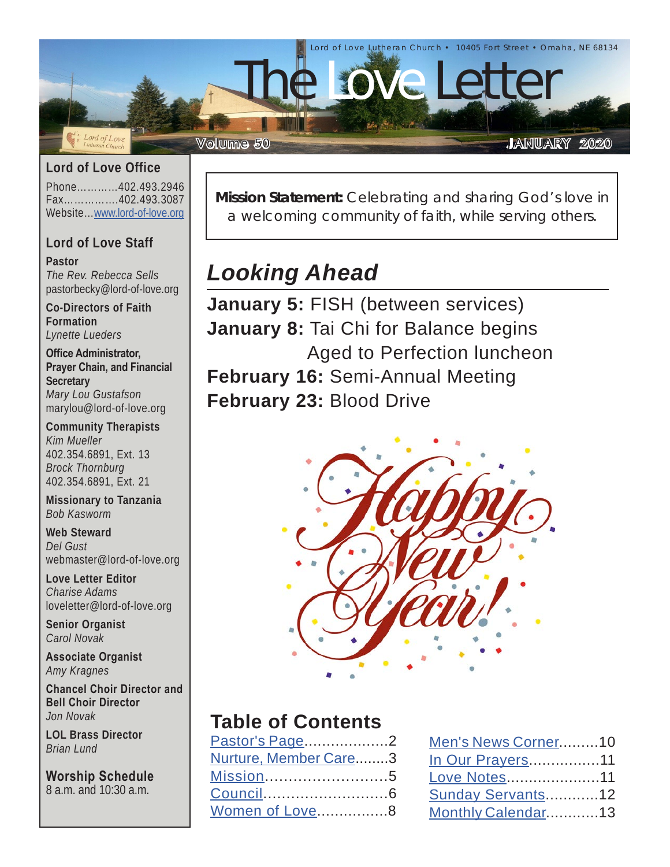

#### **Lord of Love Office**

Phone…………402.493.2946 Fax…………….402.493.3087 Website…[www.lord-of-love.org](http://www.lord-of-love.org)

#### **Lord of Love Staff**

**Pastor** *The Rev. Rebecca Sells* pastorbecky@lord-of-love.org

**Co-Directors of Faith Formation** *Lynette Lueders*

**Office Administrator, Prayer Chain, and Financial Secretary** *Mary Lou Gustafson* marylou@lord-of-love.org

**Community Therapists** *Kim Mueller* 402.354.6891, Ext. 13 *Brock Thornburg* 402.354.6891, Ext. 21

**Missionary to Tanzania** *Bob Kasworm*

**Web Steward** *Del Gust* webmaster@lord-of-love.org

**Love Letter Editor** *Charise Adams* loveletter@lord-of-love.org

**Senior Organist** *Carol Novak*

**Associate Organist** *Amy Kragnes*

**Chancel Choir Director and Bell Choir Director** *Jon Novak*

**LOL Brass Director** *Brian Lund*

**Worship Schedule** 8 a.m. and 10:30 a.m.

**Mission Statement:** Celebrating and sharing God's love in a welcoming community of faith, while serving others.

# *Looking Ahead*

**January 5:** FISH (between services) **January 8:** Tai Chi for Balance begins Aged to Perfection luncheon **February 16:** Semi-Annual Meeting **February 23:** Blood Drive



## **Table of Contents**

| <u>Pastor's Page</u> 2 |  |
|------------------------|--|
| Nurture, Member Care3  |  |
| Mission5               |  |
| Council6               |  |
| Women of Love8         |  |
|                        |  |

| Men's News Corner10     |  |
|-------------------------|--|
| <u>In Our Prayers11</u> |  |
| Love Notes11            |  |
| Sunday Servants12       |  |
| Monthly Calendar13      |  |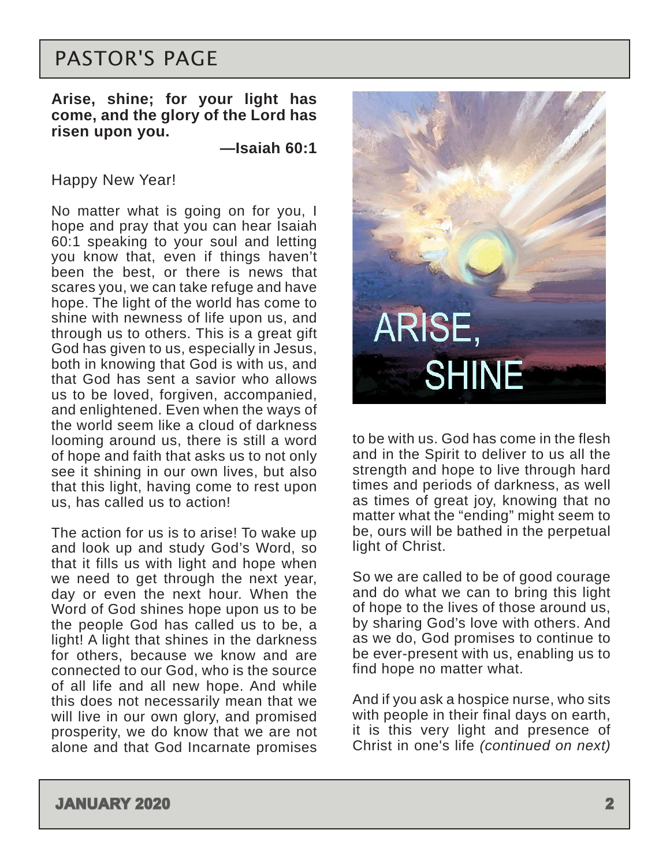# <span id="page-1-0"></span>PASTOR'S PAGE

#### **Arise, shine; for your light has come, and the glory of the Lord has risen upon you.**

**—Isaiah 60:1**

#### Happy New Year!

No matter what is going on for you, I hope and pray that you can hear Isaiah 60:1 speaking to your soul and letting you know that, even if things haven't been the best, or there is news that scares you, we can take refuge and have hope. The light of the world has come to shine with newness of life upon us, and through us to others. This is a great gift God has given to us, especially in Jesus, both in knowing that God is with us, and that God has sent a savior who allows us to be loved, forgiven, accompanied, and enlightened. Even when the ways of the world seem like a cloud of darkness looming around us, there is still a word of hope and faith that asks us to not only see it shining in our own lives, but also that this light, having come to rest upon us, has called us to action!

The action for us is to arise! To wake up and look up and study God's Word, so that it fills us with light and hope when we need to get through the next year, day or even the next hour. When the Word of God shines hope upon us to be the people God has called us to be, a light! A light that shines in the darkness for others, because we know and are connected to our God, who is the source of all life and all new hope. And while this does not necessarily mean that we will live in our own glory, and promised prosperity, we do know that we are not alone and that God Incarnate promises



to be with us. God has come in the flesh and in the Spirit to deliver to us all the strength and hope to live through hard times and periods of darkness, as well as times of great joy, knowing that no matter what the "ending" might seem to be, ours will be bathed in the perpetual light of Christ.

So we are called to be of good courage and do what we can to bring this light of hope to the lives of those around us, by sharing God's love with others. And as we do, God promises to continue to be ever-present with us, enabling us to find hope no matter what.

And if you ask a hospice nurse, who sits with people in their final days on earth, it is this very light and presence of Christ in one's life *(continued on next)*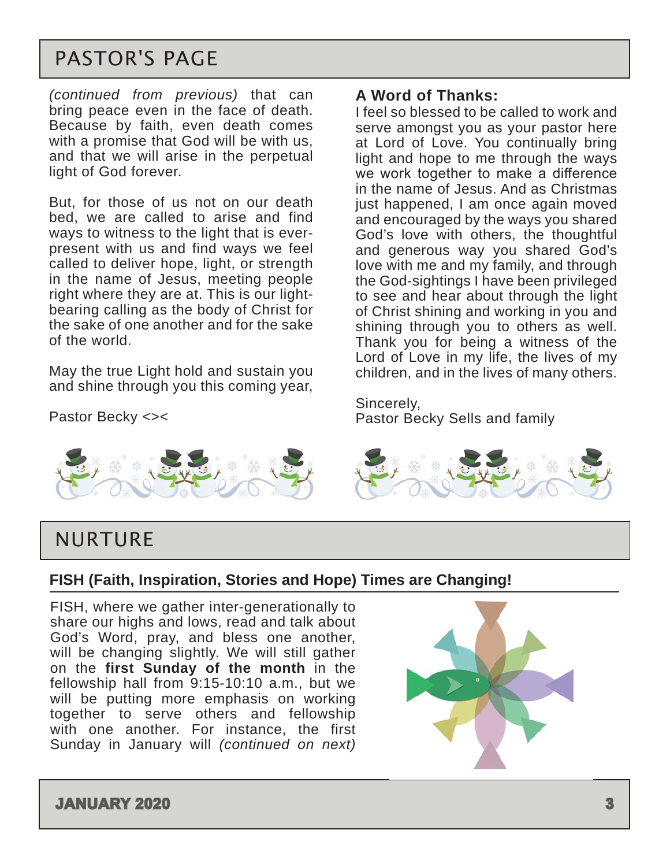# <span id="page-2-0"></span>PASTOR'S PAGE

*(continued from previous)* that can bring peace even in the face of death. Because by faith, even death comes with a promise that God will be with us, and that we will arise in the perpetual light of God forever.

But, for those of us not on our death bed, we are called to arise and find ways to witness to the light that is everpresent with us and find ways we feel called to deliver hope, light, or strength in the name of Jesus, meeting people right where they are at. This is our lightbearing calling as the body of Christ for the sake of one another and for the sake of the world.

May the true Light hold and sustain you and shine through you this coming year,

Pastor Becky <><



#### **A Word of Thanks:**

I feel so blessed to be called to work and serve amongst you as your pastor here at Lord of Love. You continually bring light and hope to me through the ways we work together to make a difference in the name of Jesus. And as Christmas just happened, I am once again moved and encouraged by the ways you shared God's love with others, the thoughtful and generous way you shared God's love with me and my family, and through the God-sightings I have been privileged to see and hear about through the light of Christ shining and working in you and shining through you to others as well. Thank you for being a witness of the Lord of Love in my life, the lives of my children, and in the lives of many others.

Sincerely, Pastor Becky Sells and family



## NURTURE

#### **FISH (Faith, Inspiration, Stories and Hope) Times are Changing!**

FISH, where we gather inter-generationally to share our highs and lows, read and talk about God's Word, pray, and bless one another, will be changing slightly. We will still gather on the **first Sunday of the month** in the fellowship hall from 9:15-10:10 a.m., but we will be putting more emphasis on working together to serve others and fellowship with one another. For instance, the first Sunday in January will *(continued on next)*

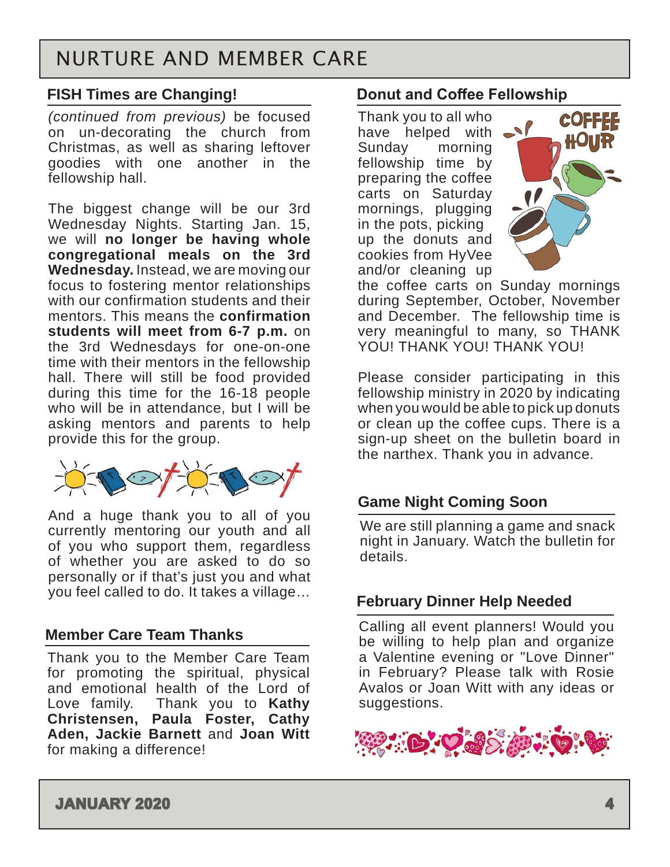# NURTURE AND MEMBER CARE

#### **FISH Times are Changing!**

*(continued from previous)* be focused on un-decorating the church from Christmas, as well as sharing leftover goodies with one another in the fellowship hall.

The biggest change will be our 3rd Wednesday Nights. Starting Jan. 15, we will **no longer be having whole congregational meals on the 3rd Wednesday.** Instead, we are moving our focus to fostering mentor relationships with our confirmation students and their mentors. This means the **confirmation students will meet from 6-7 p.m.** on the 3rd Wednesdays for one-on-one time with their mentors in the fellowship hall. There will still be food provided during this time for the 16-18 people who will be in attendance, but I will be asking mentors and parents to help provide this for the group.



And a huge thank you to all of you currently mentoring our youth and all of you who support them, regardless of whether you are asked to do so personally or if that's just you and what you feel called to do. It takes a village…

#### **Member Care Team Thanks**

Thank you to the Member Care Team for promoting the spiritual, physical and emotional health of the Lord of Love family. Thank you to **Kathy Christensen, Paula Foster, Cathy Aden, Jackie Barnett** and **Joan Witt** for making a difference!

#### **Donut and Coffee Fellowship**

Thank you to all who have helped with  $\rightarrow$ Sunday morning fellowship time by preparing the coffee carts on Saturday mornings, plugging in the pots, picking up the donuts and cookies from HyVee and/or cleaning up



the coffee carts on Sunday mornings during September, October, November and December. The fellowship time is very meaningful to many, so THANK YOU! THANK YOU! THANK YOU!

Please consider participating in this fellowship ministry in 2020 by indicating when you would be able to pick up donuts or clean up the coffee cups. There is a sign-up sheet on the bulletin board in the narthex. Thank you in advance.

#### **Game Night Coming Soon**

We are still planning a game and snack night in January. Watch the bulletin for details.

#### **February Dinner Help Needed**

Calling all event planners! Would you be willing to help plan and organize a Valentine evening or "Love Dinner" in February? Please talk with Rosie Avalos or Joan Witt with any ideas or suggestions.

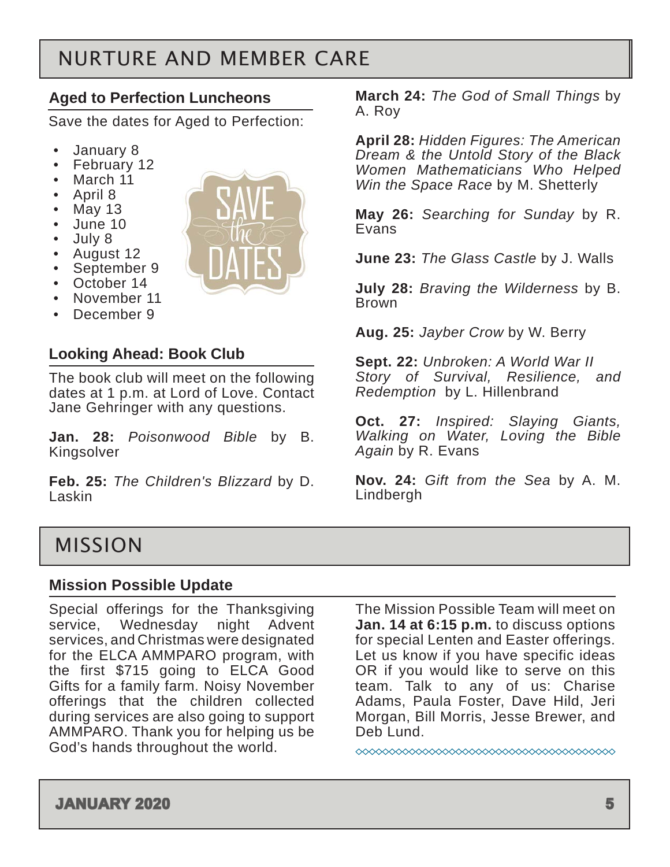# <span id="page-4-0"></span>NURTURE AND MEMBER CARE

### **Aged to Perfection Luncheons**

Save the dates for Aged to Perfection:

- January 8
- February 12
- March 11
- April 8
- May 13
- June 10
- July 8
- August 12
- September 9
- October 14
- November 11 December 9



The book club will meet on the following dates at 1 p.m. at Lord of Love. Contact Jane Gehringer with any questions.

**Jan. 28:** *Poisonwood Bible* by B. Kingsolver

**Feb. 25:** *The Children's Blizzard* by D. Laskin

**March 24:** *The God of Small Things* by A. Roy

**April 28:** *Hidden Figures: The American Dream & the Untold Story of the Black Women Mathematicians Who Helped Win the Space Race* by M. Shetterly

**May 26:** *Searching for Sunday* by R. Evans

**June 23:** *The Glass Castle* by J. Walls

**July 28:** *Braving the Wilderness* by B. Brown

**Aug. 25:** *Jayber Crow* by W. Berry

**Sept. 22:** *Unbroken: A World War II Story of Survival, Resilience, and Redemption* by L. Hillenbrand

**Oct. 27:** *Inspired: Slaying Giants, Walking on Water, Loving the Bible Again* by R. Evans

**Nov. 24:** *Gift from the Sea* by A. M. Lindbergh

## MISSION

#### **Mission Possible Update**

Special offerings for the Thanksgiving service, Wednesday night Advent services, and Christmas were designated for the ELCA AMMPARO program, with the first \$715 going to ELCA Good Gifts for a family farm. Noisy November offerings that the children collected during services are also going to support AMMPARO. Thank you for helping us be God's hands throughout the world.

The Mission Possible Team will meet on **Jan. 14 at 6:15 p.m.** to discuss options for special Lenten and Easter offerings. Let us know if you have specific ideas OR if you would like to serve on this team. Talk to any of us: Charise Adams, Paula Foster, Dave Hild, Jeri Morgan, Bill Morris, Jesse Brewer, and Deb Lund.

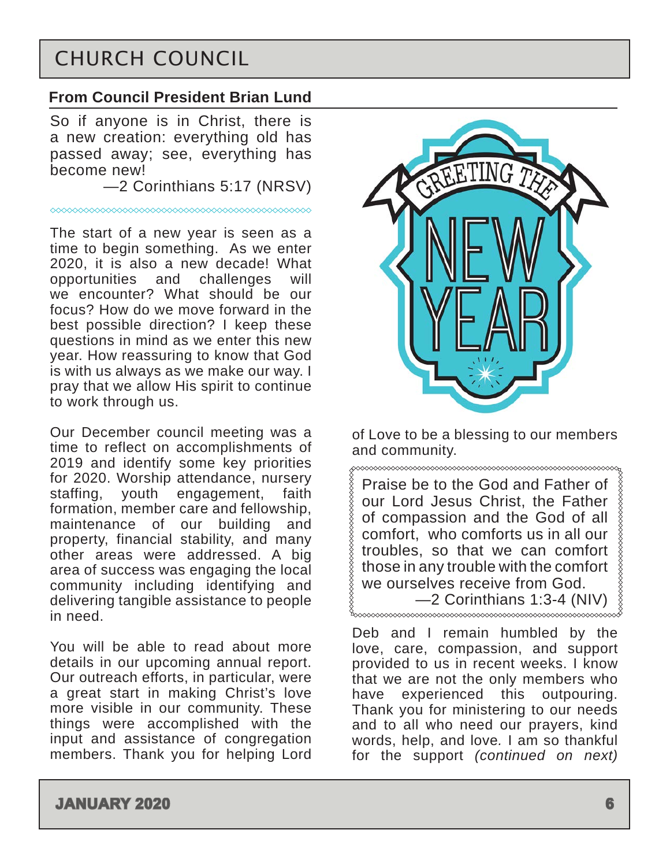# <span id="page-5-0"></span>CHURCH COUNCIL

#### **From Council President Brian Lund**

So if anyone is in Christ, there is a new creation: everything old has passed away; see, everything has become new!

—2 Corinthians 5:17 (NRSV)

The start of a new year is seen as a time to begin something. As we enter 2020, it is also a new decade! What opportunities and challenges will we encounter? What should be our focus? How do we move forward in the best possible direction? I keep these questions in mind as we enter this new year. How reassuring to know that God is with us always as we make our way. I pray that we allow His spirit to continue to work through us.

Our December council meeting was a time to reflect on accomplishments of 2019 and identify some key priorities for 2020. Worship attendance, nursery staffing, youth engagement, faith formation, member care and fellowship, maintenance of our building and property, financial stability, and many other areas were addressed. A big area of success was engaging the local community including identifying and delivering tangible assistance to people in need.

You will be able to read about more details in our upcoming annual report. Our outreach efforts, in particular, were a great start in making Christ's love more visible in our community. These things were accomplished with the input and assistance of congregation members. Thank you for helping Lord



of Love to be a blessing to our members and community.<br><sub>g</sub>ocococococococococococococococo

Praise be to the God and Father of our Lord Jesus Christ, the Father of compassion and the God of all comfort, who comforts us in all our troubles, so that we can comfort those in any trouble with the comfort we ourselves receive from God. —2 Corinthians 1:3-4 (NIV)

Deb and I remain humbled by the love, care, compassion, and support provided to us in recent weeks. I know that we are not the only members who have experienced this outpouring. Thank you for ministering to our needs and to all who need our prayers, kind words, help, and love*.* I am so thankful for the support *(continued on next)*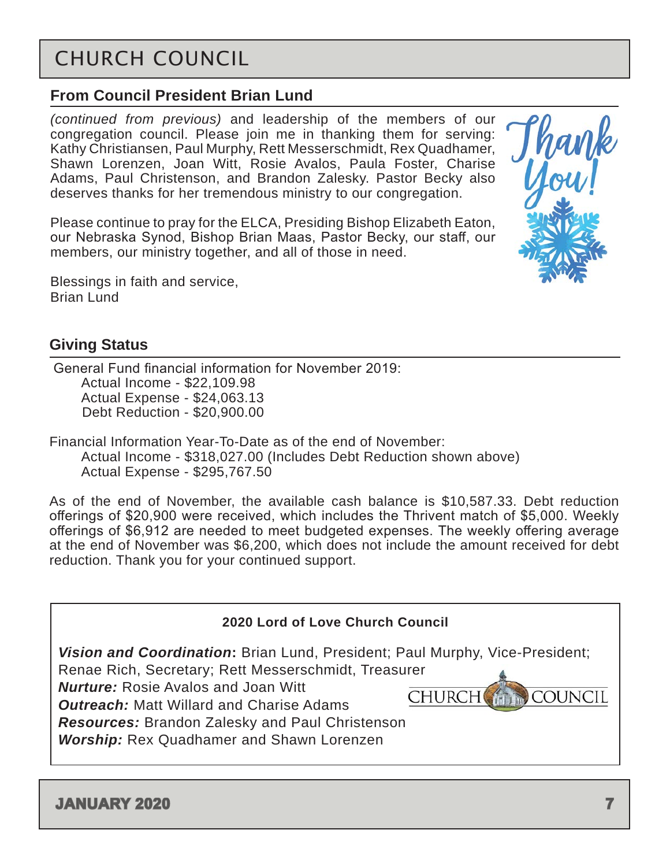# CHURCH COUNCIL

## **From Council President Brian Lund**

*(continued from previous)* and leadership of the members of our congregation council. Please join me in thanking them for serving: Kathy Christiansen, Paul Murphy, Rett Messerschmidt, Rex Quadhamer, Shawn Lorenzen, Joan Witt, Rosie Avalos, Paula Foster, Charise Adams, Paul Christenson, and Brandon Zalesky. Pastor Becky also deserves thanks for her tremendous ministry to our congregation.

Please continue to pray for the ELCA, Presiding Bishop Elizabeth Eaton, our Nebraska Synod, Bishop Brian Maas, Pastor Becky, our staff, our members, our ministry together, and all of those in need.

Blessings in faith and service, Brian Lund

## **Giving Status**

 General Fund financial information for November 2019: Actual Income - \$22,109.98 Actual Expense - \$24,063.13 Debt Reduction - \$20,900.00

Financial Information Year-To-Date as of the end of November: Actual Income - \$318,027.00 (Includes Debt Reduction shown above) Actual Expense - \$295,767.50

As of the end of November, the available cash balance is \$10,587.33. Debt reduction offerings of \$20,900 were received, which includes the Thrivent match of \$5,000. Weekly offerings of \$6,912 are needed to meet budgeted expenses. The weekly offering average at the end of November was \$6,200, which does not include the amount received for debt reduction. Thank you for your continued support.

| 2020 Lord of Love Church Council                                                                                                                                                                                                                                                                                                                    |                                 |  |  |  |  |
|-----------------------------------------------------------------------------------------------------------------------------------------------------------------------------------------------------------------------------------------------------------------------------------------------------------------------------------------------------|---------------------------------|--|--|--|--|
| Vision and Coordination: Brian Lund, President; Paul Murphy, Vice-President;<br>Renae Rich, Secretary; Rett Messerschmidt, Treasurer<br><b>Nurture:</b> Rosie Avalos and Joan Witt<br><b>Outreach:</b> Matt Willard and Charise Adams<br><b>Resources:</b> Brandon Zalesky and Paul Christenson<br><b>Worship:</b> Rex Quadhamer and Shawn Lorenzen | <b>COUNCIL</b><br><b>CHURCH</b> |  |  |  |  |

fhank<br>Umul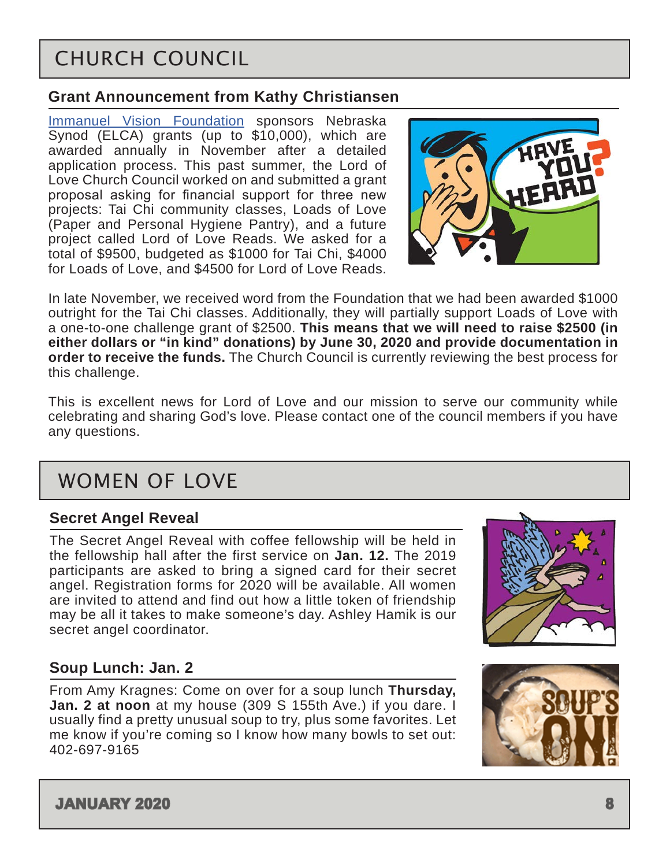# <span id="page-7-0"></span>CHURCH COUNCIL

#### **Grant Announcement from Kathy Christiansen**

[Immanuel Vision Foundation](https://www.immanuel.com/about/immanuel-vision-foundation) sponsors Nebraska Synod (ELCA) grants (up to \$10,000), which are awarded annually in November after a detailed application process. This past summer, the Lord of Love Church Council worked on and submitted a grant proposal asking for financial support for three new projects: Tai Chi community classes, Loads of Love (Paper and Personal Hygiene Pantry), and a future project called Lord of Love Reads. We asked for a total of \$9500, budgeted as \$1000 for Tai Chi, \$4000 for Loads of Love, and \$4500 for Lord of Love Reads.



In late November, we received word from the Foundation that we had been awarded \$1000 outright for the Tai Chi classes. Additionally, they will partially support Loads of Love with a one-to-one challenge grant of \$2500. **This means that we will need to raise \$2500 (in either dollars or "in kind" donations) by June 30, 2020 and provide documentation in order to receive the funds.** The Church Council is currently reviewing the best process for this challenge.

This is excellent news for Lord of Love and our mission to serve our community while celebrating and sharing God's love. Please contact one of the council members if you have any questions.

# WOMEN OF LOVE

#### **Secret Angel Reveal**

The Secret Angel Reveal with coffee fellowship will be held in the fellowship hall after the first service on **Jan. 12.** The 2019 participants are asked to bring a signed card for their secret angel. Registration forms for 2020 will be available. All women are invited to attend and find out how a little token of friendship may be all it takes to make someone's day. Ashley Hamik is our secret angel coordinator.

#### **Soup Lunch: Jan. 2**

From Amy Kragnes: Come on over for a soup lunch **Thursday, Jan. 2 at noon** at my house (309 S 155th Ave.) if you dare. I usually find a pretty unusual soup to try, plus some favorites. Let me know if you're coming so I know how many bowls to set out: 402-697-9165

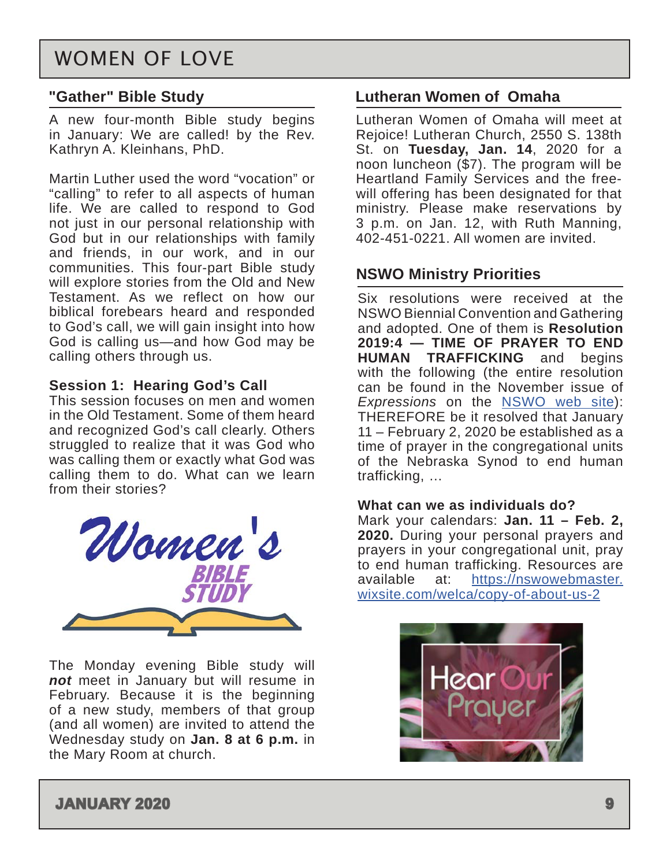## WOMEN OF LOVE

#### **"Gather" Bible Study**

A new four-month Bible study begins in January: We are called! by the Rev. Kathryn A. Kleinhans, PhD.

Martin Luther used the word "vocation" or "calling" to refer to all aspects of human life. We are called to respond to God not just in our personal relationship with God but in our relationships with family and friends, in our work, and in our communities. This four-part Bible study will explore stories from the Old and New Testament. As we reflect on how our biblical forebears heard and responded to God's call, we will gain insight into how God is calling us—and how God may be calling others through us.

#### **Session 1: Hearing God's Call**

This session focuses on men and women in the Old Testament. Some of them heard and recognized God's call clearly. Others struggled to realize that it was God who was calling them or exactly what God was calling them to do. What can we learn from their stories?



The Monday evening Bible study will *not* meet in January but will resume in February. Because it is the beginning of a new study, members of that group (and all women) are invited to attend the Wednesday study on **Jan. 8 at 6 p.m.** in the Mary Room at church.

#### **Lutheran Women of Omaha**

Lutheran Women of Omaha will meet at Rejoice! Lutheran Church, 2550 S. 138th St. on **Tuesday, Jan. 14**, 2020 for a noon luncheon (\$7). The program will be Heartland Family Services and the freewill offering has been designated for that ministry. Please make reservations by 3 p.m. on Jan. 12, with Ruth Manning, 402-451-0221. All women are invited.

#### **NSWO Ministry Priorities**

Six resolutions were received at the NSWO Biennial Convention and Gathering and adopted. One of them is **Resolution 2019:4 — TIME OF PRAYER TO END HUMAN TRAFFICKING** and begins with the following (the entire resolution can be found in the November issue of *Expressions* on the [NSWO web site\)](https://nswowebmaster.wixsite.com/welca): THEREFORE be it resolved that January 11 – February 2, 2020 be established as a time of prayer in the congregational units of the Nebraska Synod to end human trafficking, …

#### **What can we as individuals do?**

Mark your calendars: **Jan. 11 – Feb. 2, 2020.** During your personal prayers and prayers in your congregational unit, pray to end human trafficking. Resources are available at: [https://nswowebmaster.](https://nswowebmaster.wixsite.com/welca/copy-of-about-us-2 ) [wixsite.com/welca/copy-of-about-us-2](https://nswowebmaster.wixsite.com/welca/copy-of-about-us-2 )

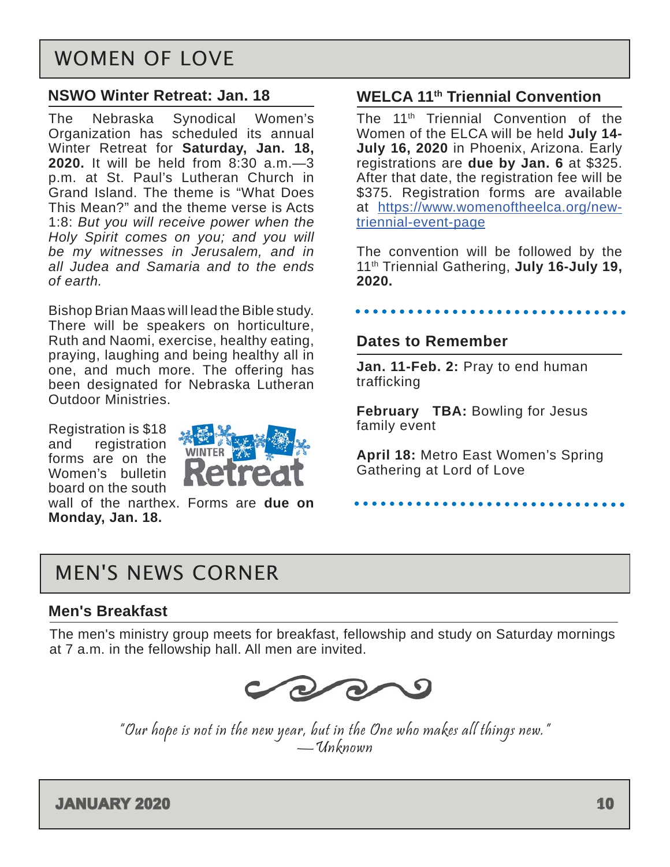## <span id="page-9-0"></span>WOMEN OF LOVE

#### **NSWO Winter Retreat: Jan. 18**

The Nebraska Synodical Women's Organization has scheduled its annual Winter Retreat for **Saturday, Jan. 18, 2020.** It will be held from 8:30 a.m.—3 p.m. at St. Paul's Lutheran Church in Grand Island. The theme is "What Does This Mean?" and the theme verse is Acts 1:8: *But you will receive power when the Holy Spirit comes on you; and you will be my witnesses in Jerusalem, and in all Judea and Samaria and to the ends of earth.*

Bishop Brian Maas will lead the Bible study. There will be speakers on horticulture, Ruth and Naomi, exercise, healthy eating, praying, laughing and being healthy all in one, and much more. The offering has been designated for Nebraska Lutheran Outdoor Ministries.

Registration is \$18 and registration forms are on the Women's bulletin board on the south



wall of the narthex. Forms are **due on Monday, Jan. 18.**

#### **WELCA 11th Triennial Convention**

The 11th Triennial Convention of the Women of the ELCA will be held **July 14- July 16, 2020** in Phoenix, Arizona. Early registrations are **due by Jan. 6** at \$325. After that date, the registration fee will be \$375. Registration forms are available at [https://www.womenoftheelca.org/new](https://www.womenoftheelca.org/new-triennial-event-page)[triennial-event-page](https://www.womenoftheelca.org/new-triennial-event-page)

The convention will be followed by the 11th Triennial Gathering, **July 16-July 19, 2020.**

#### .........

#### **Dates to Remember**

**Jan. 11-Feb. 2:** Pray to end human trafficking

**February TBA:** Bowling for Jesus family event

**April 18:** Metro East Women's Spring Gathering at Lord of Love

## MEN'S NEWS CORNER

#### **Men's Breakfast**

The men's ministry group meets for breakfast, fellowship and study on Saturday mornings at 7 a.m. in the fellowship hall. All men are invited.



"Our hope is not in the new year, but in the One who makes all things new." —Unknown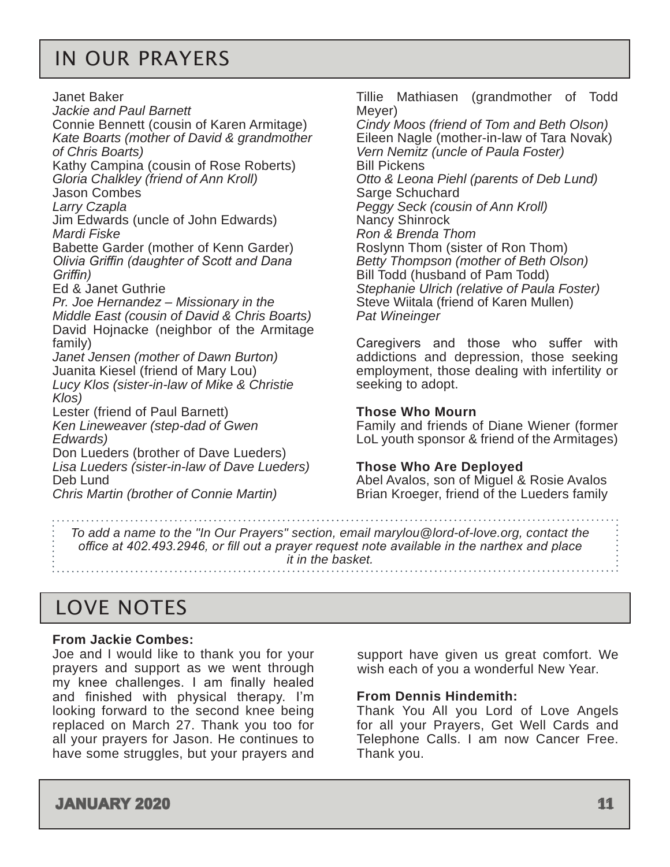## <span id="page-10-0"></span>IN OUR PRAYERS

Janet Baker *Jackie and Paul Barnett* Connie Bennett (cousin of Karen Armitage) *Kate Boarts (mother of David & grandmother of Chris Boarts)* Kathy Campina (cousin of Rose Roberts) *Gloria Chalkley (friend of Ann Kroll)* Jason Combes *Larry Czapla* Jim Edwards (uncle of John Edwards) *Mardi Fiske* Babette Garder (mother of Kenn Garder) *Olivia Griffin (daughter of Scott and Dana Griffin)* Ed & Janet Guthrie *Pr. Joe Hernandez – Missionary in the Middle East (cousin of David & Chris Boarts)* David Hojnacke (neighbor of the Armitage family) *Janet Jensen (mother of Dawn Burton)* Juanita Kiesel (friend of Mary Lou) *Lucy Klos (sister-in-law of Mike & Christie Klos)* Lester (friend of Paul Barnett) *Ken Lineweaver (step-dad of Gwen Edwards)* Don Lueders (brother of Dave Lueders) *Lisa Lueders (sister-in-law of Dave Lueders)*

Tillie Mathiasen (grandmother of Todd Meyer)

*Cindy Moos (friend of Tom and Beth Olson)* Eileen Nagle (mother-in-law of Tara Novak) *Vern Nemitz (uncle of Paula Foster)* Bill Pickens *Otto & Leona Piehl (parents of Deb Lund)* Sarge Schuchard *Peggy Seck (cousin of Ann Kroll)* Nancy Shinrock *Ron & Brenda Thom* Roslynn Thom (sister of Ron Thom) *Betty Thompson (mother of Beth Olson)* Bill Todd (husband of Pam Todd) *Stephanie Ulrich (relative of Paula Foster)* Steve Wiitala (friend of Karen Mullen) *Pat Wineinger*

Caregivers and those who suffer with addictions and depression, those seeking employment, those dealing with infertility or seeking to adopt.

#### **Those Who Mourn**

Family and friends of Diane Wiener (former LoL youth sponsor & friend of the Armitages)

#### **Those Who Are Deployed**

Abel Avalos, son of Miguel & Rosie Avalos Brian Kroeger, friend of the Lueders family

*To add a name to the "In Our Prayers" section, email marylou@lord-of-love.org, contact the office at 402.493.2946, or fill out a prayer request note available in the narthex and place it in the basket.* 

## LOVE NOTES

Deb Lund

#### **From Jackie Combes:**

Joe and I would like to thank you for your prayers and support as we went through my knee challenges. I am finally healed and finished with physical therapy. I'm looking forward to the second knee being replaced on March 27. Thank you too for all your prayers for Jason. He continues to have some struggles, but your prayers and

*Chris Martin (brother of Connie Martin)*

support have given us great comfort. We wish each of you a wonderful New Year.

#### **From Dennis Hindemith:**

Thank You All you Lord of Love Angels for all your Prayers, Get Well Cards and Telephone Calls. I am now Cancer Free. Thank you.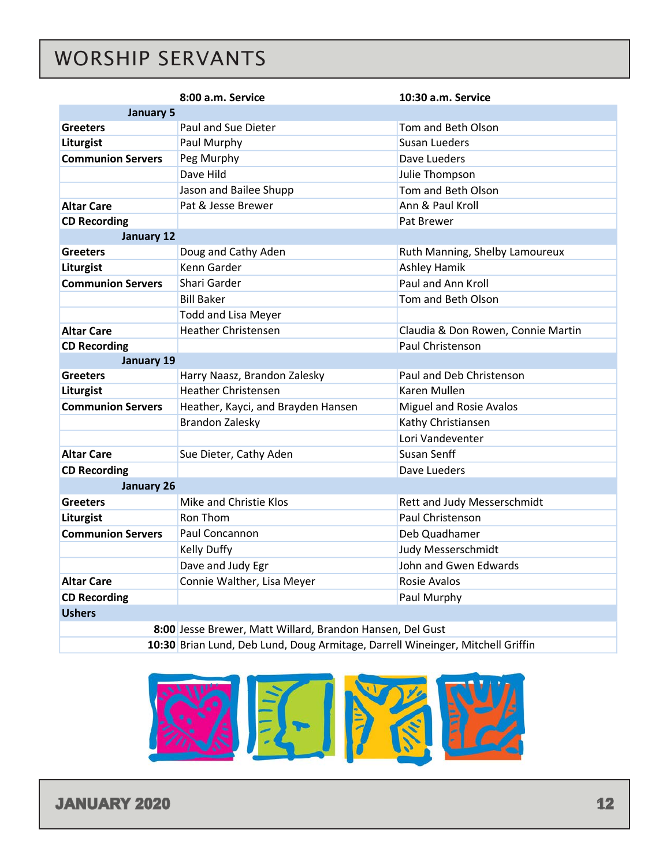# <span id="page-11-0"></span>WORSHIP SERVANTS

|                                                                                | 8:00 a.m. Service                  | 10:30 a.m. Service                 |  |  |  |  |
|--------------------------------------------------------------------------------|------------------------------------|------------------------------------|--|--|--|--|
| <b>January 5</b>                                                               |                                    |                                    |  |  |  |  |
| <b>Greeters</b>                                                                | <b>Paul and Sue Dieter</b>         | Tom and Beth Olson                 |  |  |  |  |
| Liturgist                                                                      | Paul Murphy                        | Susan Lueders                      |  |  |  |  |
| <b>Communion Servers</b>                                                       | Peg Murphy                         | Dave Lueders                       |  |  |  |  |
|                                                                                | Dave Hild                          | Julie Thompson                     |  |  |  |  |
|                                                                                | Jason and Bailee Shupp             | Tom and Beth Olson                 |  |  |  |  |
| <b>Altar Care</b>                                                              | Pat & Jesse Brewer                 | Ann & Paul Kroll                   |  |  |  |  |
| <b>CD Recording</b>                                                            |                                    | Pat Brewer                         |  |  |  |  |
| January 12                                                                     |                                    |                                    |  |  |  |  |
| <b>Greeters</b>                                                                | Doug and Cathy Aden                | Ruth Manning, Shelby Lamoureux     |  |  |  |  |
| Liturgist                                                                      | Kenn Garder                        | Ashley Hamik                       |  |  |  |  |
| <b>Communion Servers</b>                                                       | Shari Garder                       | Paul and Ann Kroll                 |  |  |  |  |
|                                                                                | <b>Bill Baker</b>                  | Tom and Beth Olson                 |  |  |  |  |
|                                                                                | <b>Todd and Lisa Meyer</b>         |                                    |  |  |  |  |
| <b>Altar Care</b>                                                              | <b>Heather Christensen</b>         | Claudia & Don Rowen, Connie Martin |  |  |  |  |
| <b>CD Recording</b>                                                            |                                    | Paul Christenson                   |  |  |  |  |
| January 19                                                                     |                                    |                                    |  |  |  |  |
| <b>Greeters</b>                                                                | Harry Naasz, Brandon Zalesky       | Paul and Deb Christenson           |  |  |  |  |
| Liturgist                                                                      | <b>Heather Christensen</b>         | Karen Mullen                       |  |  |  |  |
| <b>Communion Servers</b>                                                       | Heather, Kayci, and Brayden Hansen | <b>Miguel and Rosie Avalos</b>     |  |  |  |  |
|                                                                                | <b>Brandon Zalesky</b>             | Kathy Christiansen                 |  |  |  |  |
|                                                                                |                                    | Lori Vandeventer                   |  |  |  |  |
| <b>Altar Care</b>                                                              | Sue Dieter, Cathy Aden             | <b>Susan Senff</b>                 |  |  |  |  |
| <b>CD Recording</b>                                                            |                                    | Dave Lueders                       |  |  |  |  |
| <b>January 26</b>                                                              |                                    |                                    |  |  |  |  |
| <b>Greeters</b>                                                                | Mike and Christie Klos             | Rett and Judy Messerschmidt        |  |  |  |  |
| Liturgist                                                                      | Ron Thom                           | Paul Christenson                   |  |  |  |  |
| <b>Communion Servers</b>                                                       | Paul Concannon                     | Deb Quadhamer                      |  |  |  |  |
|                                                                                | Kelly Duffy                        | Judy Messerschmidt                 |  |  |  |  |
|                                                                                | Dave and Judy Egr                  | John and Gwen Edwards              |  |  |  |  |
| <b>Altar Care</b>                                                              | Connie Walther, Lisa Meyer         | Rosie Avalos                       |  |  |  |  |
| <b>CD Recording</b>                                                            | Paul Murphy                        |                                    |  |  |  |  |
| <b>Ushers</b>                                                                  |                                    |                                    |  |  |  |  |
| 8:00 Jesse Brewer, Matt Willard, Brandon Hansen, Del Gust                      |                                    |                                    |  |  |  |  |
| 10:30 Brian Lund, Deb Lund, Doug Armitage, Darrell Wineinger, Mitchell Griffin |                                    |                                    |  |  |  |  |